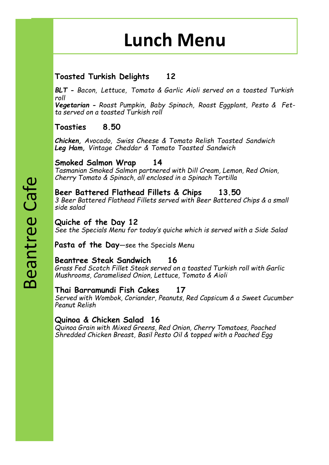## **Lunch Menu**

### **Toasted Turkish Delights 12**

*BLT - Bacon, Lettuce, Tomato & Garlic Aioli served on a toasted Turkish roll*

*Vegetarian - Roast Pumpkin, Baby Spinach, Roast Eggplant, Pesto & Fetta served on a toasted Turkish roll*

### **Toasties 8.50**

*Chicken, Avocado, Swiss Cheese & Tomato Relish Toasted Sandwich Leg Ham, Vintage Cheddar & Tomato Toasted Sandwich*

### **Smoked Salmon Wrap 14**

*Tasmanian Smoked Salmon partnered with Dill Cream, Lemon, Red Onion, Cherry Tomato & Spinach, all enclosed in a Spinach Tortilla*

### **Beer Battered Flathead Fillets & Chips 13.50**

*3 Beer Battered Flathead Fillets served with Beer Battered Chips & a small side salad*

### **Quiche of the Day 12**

*See the Specials Menu for today's quiche which is served with a Side Salad*

**Pasta of the Day**—see the Specials Menu

### **Beantree Steak Sandwich 16**

*Grass Fed Scotch Fillet Steak served on a toasted Turkish roll with Garlic Mushrooms, Caramelised Onion, Lettuce, Tomato & Aioli*

### **Thai Barramundi Fish Cakes 17**

*Served with Wombok, Coriander, Peanuts, Red Capsicum & a Sweet Cucumber Peanut Relish*

### **Quinoa & Chicken Salad 16**

*Quinoa Grain with Mixed Greens, Red Onion, Cherry Tomatoes, Poached Shredded Chicken Breast, Basil Pesto Oil & topped with a Poached Egg*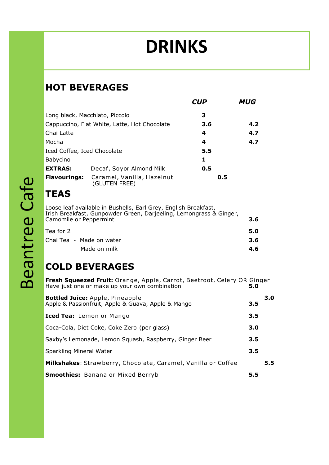# **DRINKS**

### **HOT BEVERAGES**

|                                              |                                             | <b>CUP</b> | <b>MUG</b> |
|----------------------------------------------|---------------------------------------------|------------|------------|
| Long black, Macchiato, Piccolo               |                                             | 3          |            |
| Cappuccino, Flat White, Latte, Hot Chocolate |                                             | 3.6        | 4.2        |
| Chai Latte                                   |                                             | 4          | 4.7        |
| Mocha                                        |                                             | 4          | 4.7        |
| Iced Coffee, Iced Chocolate                  |                                             | 5.5        |            |
| Babycino                                     |                                             | 1          |            |
| <b>EXTRAS:</b>                               | Decaf, Soyor Almond Milk                    | 0.5        |            |
| <b>Flavourings:</b>                          | Caramel, Vanilla, Hazelnut<br>(GLUTEN FREE) | 0.5        |            |

## **TEAS**

Loose leaf available in Bushells, Earl Grey, English Breakfast, Irish Breakfast, Gunpowder Green, Darjeeling, Lemongrass & Ginger, Camomile or Peppermint **3.6**

| Tea for 2                | 5.0 |
|--------------------------|-----|
| Chai Tea - Made on water | 3.6 |
| Made on milk             | 4.6 |

### **COLD BEVERAGES**

| <b>Fresh Squeezed Fruit:</b> Orange, Apple, Carrot, Beetroot, Celery OR Ginger<br>Have just one or make up your own combination | 5.0 |     |
|---------------------------------------------------------------------------------------------------------------------------------|-----|-----|
| <b>Bottled Juice:</b> Apple, Pineapple<br>Apple & Passionfruit, Apple & Guava, Apple & Mango                                    | 3.5 | 3.0 |
| Iced Tea: Lemon or Mango                                                                                                        | 3.5 |     |
| Coca-Cola, Diet Coke, Coke Zero (per glass)                                                                                     | 3.0 |     |
| Saxby's Lemonade, Lemon Squash, Raspberry, Ginger Beer                                                                          | 3.5 |     |
| Sparkling Mineral Water                                                                                                         | 3.5 |     |
| Milkshakes: Strawberry, Chocolate, Caramel, Vanilla or Coffee                                                                   |     | 5.5 |
| <b>Smoothies:</b> Banana or Mixed Berryb                                                                                        | 5.5 |     |